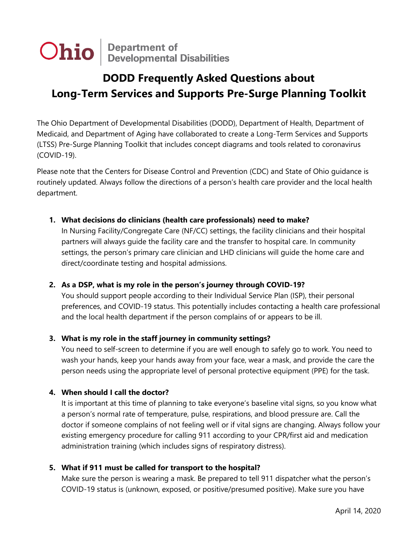**Ohio** Department of Developmental Disabilities

# **DODD Frequently Asked Questions about Long-Term Services and Supports Pre-Surge Planning Toolkit**

The Ohio Department of Developmental Disabilities (DODD), Department of Health, Department of Medicaid, and Department of Aging have collaborated to create a Long-Term Services and Supports (LTSS) Pre-Surge Planning Toolkit that includes concept diagrams and tools related to coronavirus (COVID-19).

Please note that the Centers for Disease Control and Prevention (CDC) and State of Ohio guidance is routinely updated. Always follow the directions of a person's health care provider and the local health department.

# **1. What decisions do clinicians (health care professionals) need to make?**

In Nursing Facility/Congregate Care (NF/CC) settings, the facility clinicians and their hospital partners will always guide the facility care and the transfer to hospital care. In community settings, the person's primary care clinician and LHD clinicians will guide the home care and direct/coordinate testing and hospital admissions.

# **2. As a DSP, what is my role in the person's journey through COVID-19?**

You should support people according to their Individual Service Plan (ISP), their personal preferences, and COVID-19 status. This potentially includes contacting a health care professional and the local health department if the person complains of or appears to be ill.

# **3. What is my role in the staff journey in community settings?**

You need to self-screen to determine if you are well enough to safely go to work. You need to wash your hands, keep your hands away from your face, wear a mask, and provide the care the person needs using the appropriate level of personal protective equipment (PPE) for the task.

# **4. When should I call the doctor?**

It is important at this time of planning to take everyone's baseline vital signs, so you know what a person's normal rate of temperature, pulse, respirations, and blood pressure are. Call the doctor if someone complains of not feeling well or if vital signs are changing. Always follow your existing emergency procedure for calling 911 according to your CPR/first aid and medication administration training (which includes signs of respiratory distress).

#### **5. What if 911 must be called for transport to the hospital?**

Make sure the person is wearing a mask. Be prepared to tell 911 dispatcher what the person's COVID-19 status is (unknown, exposed, or positive/presumed positive). Make sure you have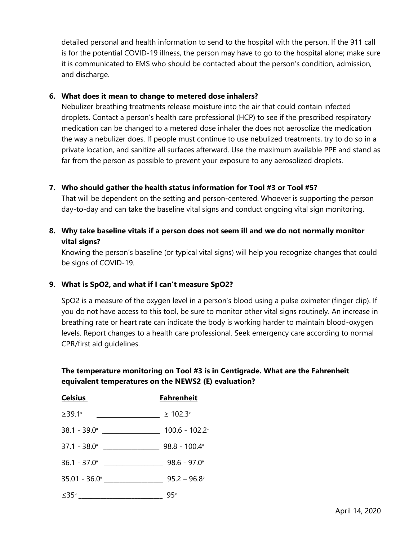detailed personal and health information to send to the hospital with the person. If the 911 call is for the potential COVID-19 illness, the person may have to go to the hospital alone; make sure it is communicated to EMS who should be contacted about the person's condition, admission, and discharge.

## **6. What does it mean to change to metered dose inhalers?**

Nebulizer breathing treatments release moisture into the air that could contain infected droplets. Contact a person's health care professional (HCP) to see if the prescribed respiratory medication can be changed to a metered dose inhaler the does not aerosolize the medication the way a nebulizer does. If people must continue to use nebulized treatments, try to do so in a private location, and sanitize all surfaces afterward. Use the maximum available PPE and stand as far from the person as possible to prevent your exposure to any aerosolized droplets.

# **7. Who should gather the health status information for Tool #3 or Tool #5?**

That will be dependent on the setting and person-centered. Whoever is supporting the person day-to-day and can take the baseline vital signs and conduct ongoing vital sign monitoring.

# **8. Why take baseline vitals if a person does not seem ill and we do not normally monitor vital signs?**

Knowing the person's baseline (or typical vital signs) will help you recognize changes that could be signs of COVID-19.

# **9. What is SpO2, and what if I can't measure SpO2?**

SpO2 is a measure of the oxygen level in a person's blood using a pulse oximeter (finger clip). If you do not have access to this tool, be sure to monitor other vital signs routinely. An increase in breathing rate or heart rate can indicate the body is working harder to maintain blood-oxygen levels. Report changes to a health care professional. Seek emergency care according to normal CPR/first aid guidelines.

# **The temperature monitoring on Tool #3 is in Centigrade. What are the Fahrenheit equivalent temperatures on the NEWS2 (E) evaluation?**

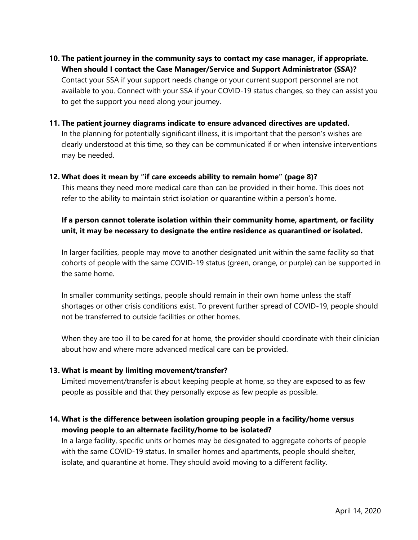- **10. The patient journey in the community says to contact my case manager, if appropriate. When should I contact the Case Manager/Service and Support Administrator (SSA)?** Contact your SSA if your support needs change or your current support personnel are not available to you. Connect with your SSA if your COVID-19 status changes, so they can assist you to get the support you need along your journey.
- **11. The patient journey diagrams indicate to ensure advanced directives are updated.**

In the planning for potentially significant illness, it is important that the person's wishes are clearly understood at this time, so they can be communicated if or when intensive interventions may be needed.

#### **12. What does it mean by "if care exceeds ability to remain home" (page 8)?**

This means they need more medical care than can be provided in their home. This does not refer to the ability to maintain strict isolation or quarantine within a person's home.

# **If a person cannot tolerate isolation within their community home, apartment, or facility unit, it may be necessary to designate the entire residence as quarantined or isolated.**

In larger facilities, people may move to another designated unit within the same facility so that cohorts of people with the same COVID-19 status (green, orange, or purple) can be supported in the same home.

In smaller community settings, people should remain in their own home unless the staff shortages or other crisis conditions exist. To prevent further spread of COVID-19, people should not be transferred to outside facilities or other homes.

When they are too ill to be cared for at home, the provider should coordinate with their clinician about how and where more advanced medical care can be provided.

#### **13. What is meant by limiting movement/transfer?**

Limited movement/transfer is about keeping people at home, so they are exposed to as few people as possible and that they personally expose as few people as possible.

# **14. What is the difference between isolation grouping people in a facility/home versus moving people to an alternate facility/home to be isolated?**

In a large facility, specific units or homes may be designated to aggregate cohorts of people with the same COVID-19 status. In smaller homes and apartments, people should shelter, isolate, and quarantine at home. They should avoid moving to a different facility.